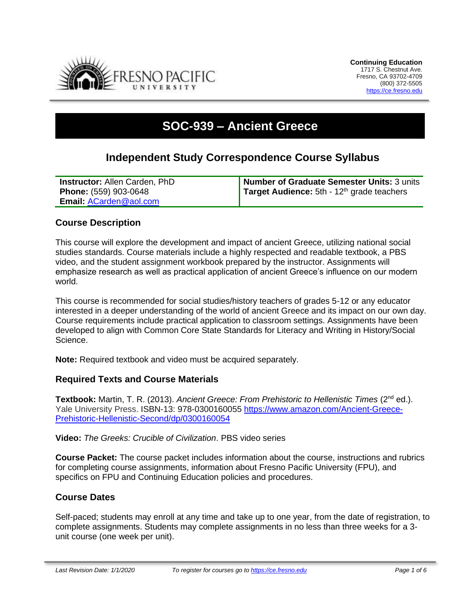

# **SOC-939 – Ancient Greece**

# **Independent Study Correspondence Course Syllabus**

| <b>Instructor: Allen Carden, PhD</b> | Number of Graduate Semester Units: 3 units          |
|--------------------------------------|-----------------------------------------------------|
| <b>Phone:</b> (559) 903-0648         | <b>Target Audience:</b> 5th - $12th$ grade teachers |
| Email: ACarden@aol.com               |                                                     |

# **Course Description**

This course will explore the development and impact of ancient Greece, utilizing national social studies standards. Course materials include a highly respected and readable textbook, a PBS video, and the student assignment workbook prepared by the instructor. Assignments will emphasize research as well as practical application of ancient Greece's influence on our modern world.

This course is recommended for social studies/history teachers of grades 5-12 or any educator interested in a deeper understanding of the world of ancient Greece and its impact on our own day. Course requirements include practical application to classroom settings. Assignments have been developed to align with Common Core State Standards for Literacy and Writing in History/Social Science.

**Note:** Required textbook and video must be acquired separately.

#### **Required Texts and Course Materials**

**Textbook:** Martin, T. R. (2013). *Ancient Greece: From Prehistoric to Hellenistic Times* (2nd ed.). Yale University Press. ISBN-13: 978-0300160055 [https://www.amazon.com/Ancient-Greece-](https://www.amazon.com/Ancient-Greece-Prehistoric-Hellenistic-Second/dp/0300160054)[Prehistoric-Hellenistic-Second/dp/0300160054](https://www.amazon.com/Ancient-Greece-Prehistoric-Hellenistic-Second/dp/0300160054)

**Video:** *The Greeks: Crucible of Civilization*. PBS video series

**Course Packet:** The course packet includes information about the course, instructions and rubrics for completing course assignments, information about Fresno Pacific University (FPU), and specifics on FPU and Continuing Education policies and procedures.

#### **Course Dates**

Self-paced; students may enroll at any time and take up to one year, from the date of registration, to complete assignments. Students may complete assignments in no less than three weeks for a 3 unit course (one week per unit).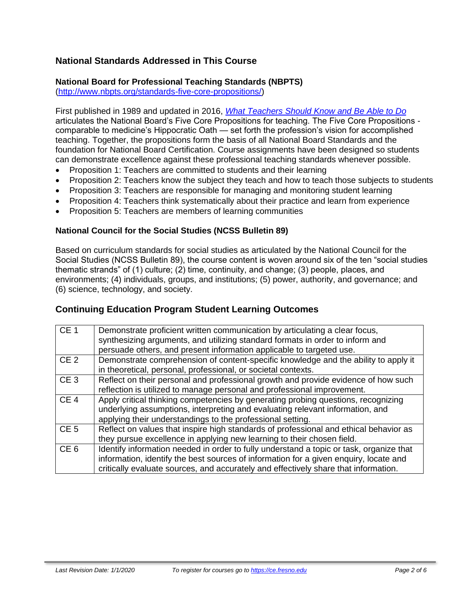# **National Standards Addressed in This Course**

# **National Board for Professional Teaching Standards (NBPTS)**

[\(http://www.nbpts.org/standards-five-core-propositions/\)](http://www.nbpts.org/standards-five-core-propositions/)

First published in 1989 and updated in 2016, *[What Teachers Should Know and Be Able to Do](http://www.accomplishedteacher.org/)* articulates the National Board's Five Core Propositions for teaching. The Five Core Propositions comparable to medicine's Hippocratic Oath — set forth the profession's vision for accomplished teaching. Together, the propositions form the basis of all National Board Standards and the foundation for National Board Certification. Course assignments have been designed so students can demonstrate excellence against these professional teaching standards whenever possible.

- Proposition 1: Teachers are committed to students and their learning
- Proposition 2: Teachers know the subject they teach and how to teach those subjects to students
- Proposition 3: Teachers are responsible for managing and monitoring student learning
- Proposition 4: Teachers think systematically about their practice and learn from experience
- Proposition 5: Teachers are members of learning communities

#### **National Council for the Social Studies (NCSS Bulletin 89)**

Based on curriculum standards for social studies as articulated by the National Council for the Social Studies (NCSS Bulletin 89), the course content is woven around six of the ten "social studies thematic strands" of (1) culture; (2) time, continuity, and change; (3) people, places, and environments; (4) individuals, groups, and institutions; (5) power, authority, and governance; and (6) science, technology, and society.

# **Continuing Education Program Student Learning Outcomes**

| CE <sub>1</sub> | Demonstrate proficient written communication by articulating a clear focus,<br>synthesizing arguments, and utilizing standard formats in order to inform and<br>persuade others, and present information applicable to targeted use.                                    |
|-----------------|-------------------------------------------------------------------------------------------------------------------------------------------------------------------------------------------------------------------------------------------------------------------------|
| CE <sub>2</sub> | Demonstrate comprehension of content-specific knowledge and the ability to apply it<br>in theoretical, personal, professional, or societal contexts.                                                                                                                    |
| CE <sub>3</sub> | Reflect on their personal and professional growth and provide evidence of how such<br>reflection is utilized to manage personal and professional improvement.                                                                                                           |
| CE <sub>4</sub> | Apply critical thinking competencies by generating probing questions, recognizing<br>underlying assumptions, interpreting and evaluating relevant information, and<br>applying their understandings to the professional setting.                                        |
| CE <sub>5</sub> | Reflect on values that inspire high standards of professional and ethical behavior as<br>they pursue excellence in applying new learning to their chosen field.                                                                                                         |
| CE <sub>6</sub> | Identify information needed in order to fully understand a topic or task, organize that<br>information, identify the best sources of information for a given enquiry, locate and<br>critically evaluate sources, and accurately and effectively share that information. |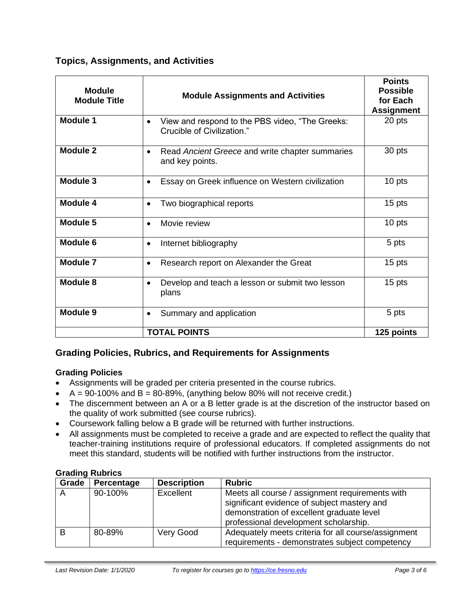# **Topics, Assignments, and Activities**

| <b>Module</b><br><b>Module Title</b> | <b>Module Assignments and Activities</b>                                        | <b>Points</b><br><b>Possible</b><br>for Each<br><b>Assignment</b> |  |  |
|--------------------------------------|---------------------------------------------------------------------------------|-------------------------------------------------------------------|--|--|
| <b>Module 1</b>                      | View and respond to the PBS video, "The Greeks:<br>Crucible of Civilization."   | 20 pts                                                            |  |  |
| Module 2                             | Read Ancient Greece and write chapter summaries<br>$\bullet$<br>and key points. | 30 pts                                                            |  |  |
| Module 3                             | Essay on Greek influence on Western civilization<br>$\bullet$                   | 10 pts                                                            |  |  |
| Module 4                             | Two biographical reports                                                        | 15 pts                                                            |  |  |
| Module 5                             | Movie review<br>$\bullet$                                                       | 10 pts                                                            |  |  |
| <b>Module 6</b>                      | Internet bibliography<br>$\bullet$                                              | 5 pts                                                             |  |  |
| Module 7                             | Research report on Alexander the Great<br>$\bullet$                             | 15 pts                                                            |  |  |
| Module 8                             | Develop and teach a lesson or submit two lesson<br>plans                        | 15 pts                                                            |  |  |
| Module 9                             | Summary and application                                                         | 5 pts                                                             |  |  |
|                                      | <b>TOTAL POINTS</b><br>125 points                                               |                                                                   |  |  |

# **Grading Policies, Rubrics, and Requirements for Assignments**

#### **Grading Policies**

- Assignments will be graded per criteria presented in the course rubrics.
- $A = 90-100\%$  and  $B = 80-89\%$ , (anything below 80% will not receive credit.)
- The discernment between an A or a B letter grade is at the discretion of the instructor based on the quality of work submitted (see course rubrics).
- Coursework falling below a B grade will be returned with further instructions.
- All assignments must be completed to receive a grade and are expected to reflect the quality that teacher-training institutions require of professional educators. If completed assignments do not meet this standard, students will be notified with further instructions from the instructor.

#### **Grading Rubrics**

| Grade        | Percentage | <b>Description</b> | <b>Rubric</b>                                                                                                                                                                        |
|--------------|------------|--------------------|--------------------------------------------------------------------------------------------------------------------------------------------------------------------------------------|
| $\mathsf{A}$ | 90-100%    | Excellent          | Meets all course / assignment requirements with<br>significant evidence of subject mastery and<br>demonstration of excellent graduate level<br>professional development scholarship. |
| B            | 80-89%     | Very Good          | Adequately meets criteria for all course/assignment<br>requirements - demonstrates subject competency                                                                                |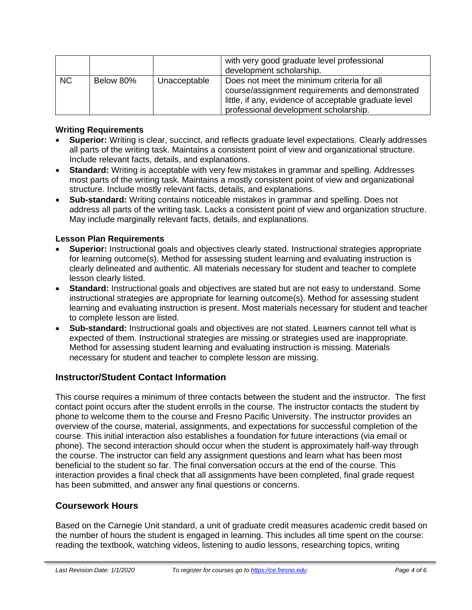|           |           |              | with very good graduate level professional<br>development scholarship.                                                                                                                          |
|-----------|-----------|--------------|-------------------------------------------------------------------------------------------------------------------------------------------------------------------------------------------------|
| <b>NC</b> | Below 80% | Unacceptable | Does not meet the minimum criteria for all<br>course/assignment requirements and demonstrated<br>little, if any, evidence of acceptable graduate level<br>professional development scholarship. |

#### **Writing Requirements**

- **Superior:** Writing is clear, succinct, and reflects graduate level expectations. Clearly addresses all parts of the writing task. Maintains a consistent point of view and organizational structure. Include relevant facts, details, and explanations.
- **Standard:** Writing is acceptable with very few mistakes in grammar and spelling. Addresses most parts of the writing task. Maintains a mostly consistent point of view and organizational structure. Include mostly relevant facts, details, and explanations.
- **Sub-standard:** Writing contains noticeable mistakes in grammar and spelling. Does not address all parts of the writing task. Lacks a consistent point of view and organization structure. May include marginally relevant facts, details, and explanations.

# **Lesson Plan Requirements**

- **Superior:** Instructional goals and objectives clearly stated. Instructional strategies appropriate for learning outcome(s). Method for assessing student learning and evaluating instruction is clearly delineated and authentic. All materials necessary for student and teacher to complete lesson clearly listed.
- **Standard:** Instructional goals and objectives are stated but are not easy to understand. Some instructional strategies are appropriate for learning outcome(s). Method for assessing student learning and evaluating instruction is present. Most materials necessary for student and teacher to complete lesson are listed.
- **Sub-standard:** Instructional goals and objectives are not stated. Learners cannot tell what is expected of them. Instructional strategies are missing or strategies used are inappropriate. Method for assessing student learning and evaluating instruction is missing. Materials necessary for student and teacher to complete lesson are missing.

# **Instructor/Student Contact Information**

This course requires a minimum of three contacts between the student and the instructor. The first contact point occurs after the student enrolls in the course. The instructor contacts the student by phone to welcome them to the course and Fresno Pacific University. The instructor provides an overview of the course, material, assignments, and expectations for successful completion of the course. This initial interaction also establishes a foundation for future interactions (via email or phone). The second interaction should occur when the student is approximately half-way through the course. The instructor can field any assignment questions and learn what has been most beneficial to the student so far. The final conversation occurs at the end of the course. This interaction provides a final check that all assignments have been completed, final grade request has been submitted, and answer any final questions or concerns.

# **Coursework Hours**

Based on the Carnegie Unit standard, a unit of graduate credit measures academic credit based on the number of hours the student is engaged in learning. This includes all time spent on the course: reading the textbook, watching videos, listening to audio lessons, researching topics, writing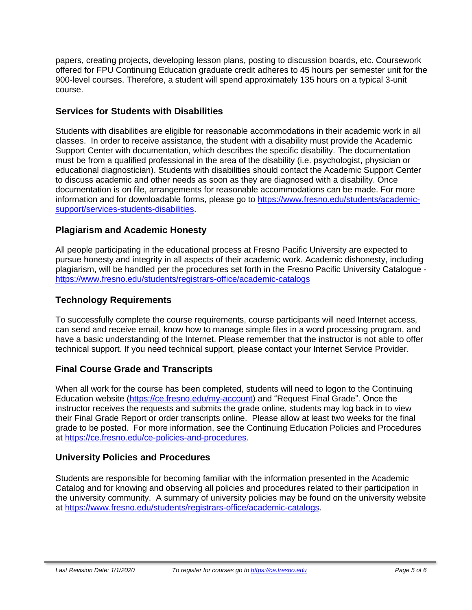papers, creating projects, developing lesson plans, posting to discussion boards, etc. Coursework offered for FPU Continuing Education graduate credit adheres to 45 hours per semester unit for the 900-level courses. Therefore, a student will spend approximately 135 hours on a typical 3-unit course.

# **Services for Students with Disabilities**

Students with disabilities are eligible for reasonable accommodations in their academic work in all classes. In order to receive assistance, the student with a disability must provide the Academic Support Center with documentation, which describes the specific disability. The documentation must be from a qualified professional in the area of the disability (i.e. psychologist, physician or educational diagnostician). Students with disabilities should contact the Academic Support Center to discuss academic and other needs as soon as they are diagnosed with a disability. Once documentation is on file, arrangements for reasonable accommodations can be made. For more information and for downloadable forms, please go to [https://www.fresno.edu/students/academic](https://www.fresno.edu/students/academic-support/services-students-disabilities)[support/services-students-disabilities.](https://www.fresno.edu/students/academic-support/services-students-disabilities)

# **Plagiarism and Academic Honesty**

All people participating in the educational process at Fresno Pacific University are expected to pursue honesty and integrity in all aspects of their academic work. Academic dishonesty, including plagiarism, will be handled per the procedures set forth in the Fresno Pacific University Catalogue <https://www.fresno.edu/students/registrars-office/academic-catalogs>

# **Technology Requirements**

To successfully complete the course requirements, course participants will need Internet access, can send and receive email, know how to manage simple files in a word processing program, and have a basic understanding of the Internet. Please remember that the instructor is not able to offer technical support. If you need technical support, please contact your Internet Service Provider.

# **Final Course Grade and Transcripts**

When all work for the course has been completed, students will need to logon to the Continuing Education website [\(https://ce.fresno.edu/my-account\)](https://ce.fresno.edu/my-account) and "Request Final Grade". Once the instructor receives the requests and submits the grade online, students may log back in to view their Final Grade Report or order transcripts online. Please allow at least two weeks for the final grade to be posted. For more information, see the Continuing Education Policies and Procedures at [https://ce.fresno.edu/ce-policies-and-procedures.](https://ce.fresno.edu/ce-policies-and-procedures)

# **University Policies and Procedures**

Students are responsible for becoming familiar with the information presented in the Academic Catalog and for knowing and observing all policies and procedures related to their participation in the university community. A summary of university policies may be found on the university website at [https://www.fresno.edu/students/registrars-office/academic-catalogs.](https://www.fresno.edu/students/registrars-office/academic-catalogs)